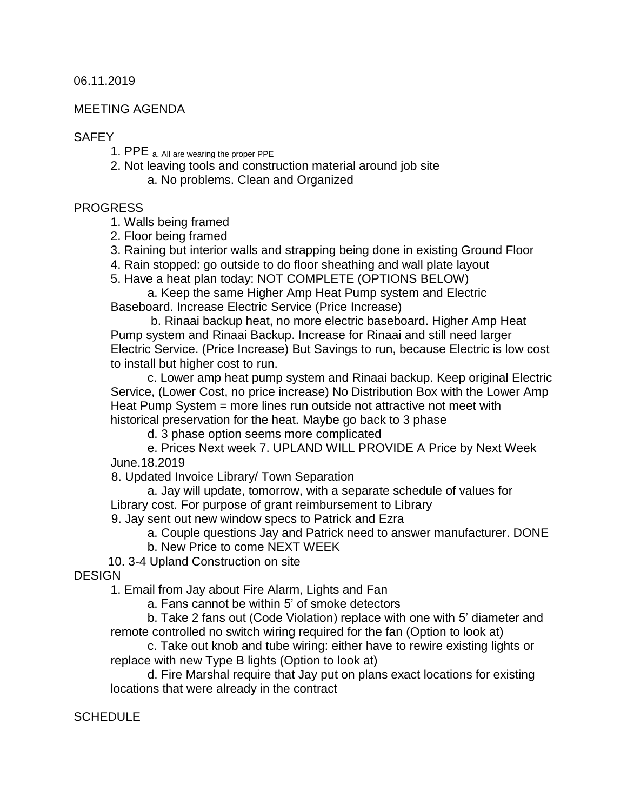06.11.2019

#### MEETING AGENDA

#### **SAFFY**

- 1. PPE a. All are wearing the proper PPE
- 2. Not leaving tools and construction material around job site a. No problems. Clean and Organized

#### PROGRESS

1. Walls being framed

- 2. Floor being framed
- 3. Raining but interior walls and strapping being done in existing Ground Floor
- 4. Rain stopped: go outside to do floor sheathing and wall plate layout
- 5. Have a heat plan today: NOT COMPLETE (OPTIONS BELOW)

a. Keep the same Higher Amp Heat Pump system and Electric Baseboard. Increase Electric Service (Price Increase)

b. Rinaai backup heat, no more electric baseboard. Higher Amp Heat Pump system and Rinaai Backup. Increase for Rinaai and still need larger Electric Service. (Price Increase) But Savings to run, because Electric is low cost to install but higher cost to run.

c. Lower amp heat pump system and Rinaai backup. Keep original Electric Service, (Lower Cost, no price increase) No Distribution Box with the Lower Amp Heat Pump System = more lines run outside not attractive not meet with historical preservation for the heat. Maybe go back to 3 phase

d. 3 phase option seems more complicated

e. Prices Next week 7. UPLAND WILL PROVIDE A Price by Next Week June.18.2019

8. Updated Invoice Library/ Town Separation

a. Jay will update, tomorrow, with a separate schedule of values for Library cost. For purpose of grant reimbursement to Library

9. Jay sent out new window specs to Patrick and Ezra

a. Couple questions Jay and Patrick need to answer manufacturer. DONE

b. New Price to come NEXT WEEK

10. 3-4 Upland Construction on site

**DESIGN** 

1. Email from Jay about Fire Alarm, Lights and Fan

a. Fans cannot be within 5' of smoke detectors

b. Take 2 fans out (Code Violation) replace with one with 5' diameter and remote controlled no switch wiring required for the fan (Option to look at)

c. Take out knob and tube wiring: either have to rewire existing lights or replace with new Type B lights (Option to look at)

d. Fire Marshal require that Jay put on plans exact locations for existing locations that were already in the contract

**SCHEDULE**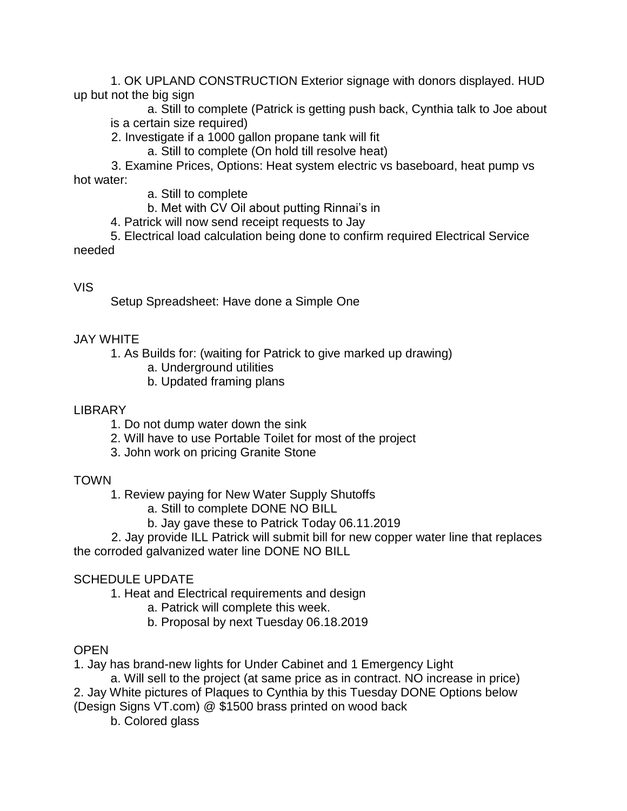1. OK UPLAND CONSTRUCTION Exterior signage with donors displayed. HUD up but not the big sign

a. Still to complete (Patrick is getting push back, Cynthia talk to Joe about is a certain size required)

2. Investigate if a 1000 gallon propane tank will fit

a. Still to complete (On hold till resolve heat)

 3. Examine Prices, Options: Heat system electric vs baseboard, heat pump vs hot water:

a. Still to complete

b. Met with CV Oil about putting Rinnai's in

4. Patrick will now send receipt requests to Jay

5. Electrical load calculation being done to confirm required Electrical Service needed

### VIS

Setup Spreadsheet: Have done a Simple One

### JAY WHITE

1. As Builds for: (waiting for Patrick to give marked up drawing)

- a. Underground utilities
- b. Updated framing plans

## LIBRARY

- 1. Do not dump water down the sink
- 2. Will have to use Portable Toilet for most of the project
- 3. John work on pricing Granite Stone

# TOWN

- 1. Review paying for New Water Supply Shutoffs
	- a. Still to complete DONE NO BILL
	- b. Jay gave these to Patrick Today 06.11.2019

 2. Jay provide ILL Patrick will submit bill for new copper water line that replaces the corroded galvanized water line DONE NO BILL

# SCHEDULE UPDATE

1. Heat and Electrical requirements and design

- a. Patrick will complete this week.
- b. Proposal by next Tuesday 06.18.2019

# **OPEN**

1. Jay has brand-new lights for Under Cabinet and 1 Emergency Light

a. Will sell to the project (at same price as in contract. NO increase in price) 2. Jay White pictures of Plaques to Cynthia by this Tuesday DONE Options below (Design Signs VT.com) @ \$1500 brass printed on wood back

b. Colored glass